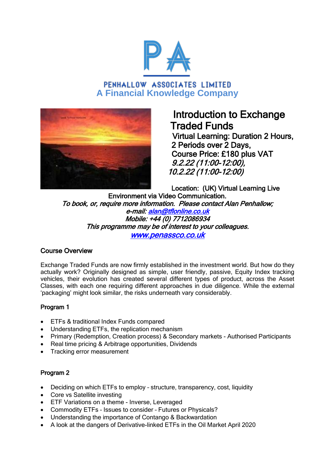

## PENHALLOW ASSOCIATES LIMITED **A Financial Knowledge Company**



# Introduction to Exchange Traded Funds

 Virtual Learning: Duration 2 Hours, 2 Periods over 2 Days, Course Price: £180 plus VAT 9.2.22 (11:00-12:00), 10.2.22 (11:00-12:00)

Location: (UK) Virtual Learning Live Environment via Video Communication. To book, or, require more information. Please contact Alan Penhallow; e-mail: [alan@tflonline.co.uk](mailto:alan@tflonline.co.uk)  Mobile: +44 (0) 7712086934 This programme may be of interest to your colleagues. [www.penassco.co.uk](http://www.penassco.co.uk/)

## Course Overview

Exchange Traded Funds are now firmly established in the investment world. But how do they actually work? Originally designed as simple, user friendly, passive, Equity Index tracking vehicles, their evolution has created several different types of product, across the Asset Classes, with each one requiring different approaches in due diligence. While the external 'packaging' might look similar, the risks underneath vary considerably.

## Program 1

- ETFs & traditional Index Funds compared
- Understanding ETFs, the replication mechanism
- Primary (Redemption, Creation process) & Secondary markets Authorised Participants
- Real time pricing & Arbitrage opportunities, Dividends
- Tracking error measurement

## Program 2

- Deciding on which ETFs to employ structure, transparency, cost, liquidity
- Core vs Satellite investing
- **•** ETF Variations on a theme Inverse, Leveraged
- Commodity ETFs Issues to consider Futures or Physicals?
- Understanding the importance of Contango & Backwardation
- A look at the dangers of Derivative-linked ETFs in the Oil Market April 2020